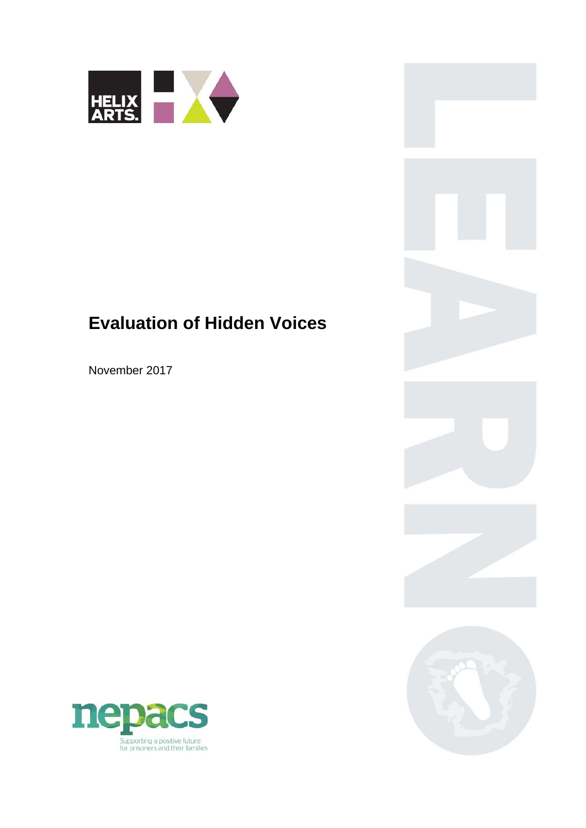

# **Evaluation of Hidden Voices**

November 2017



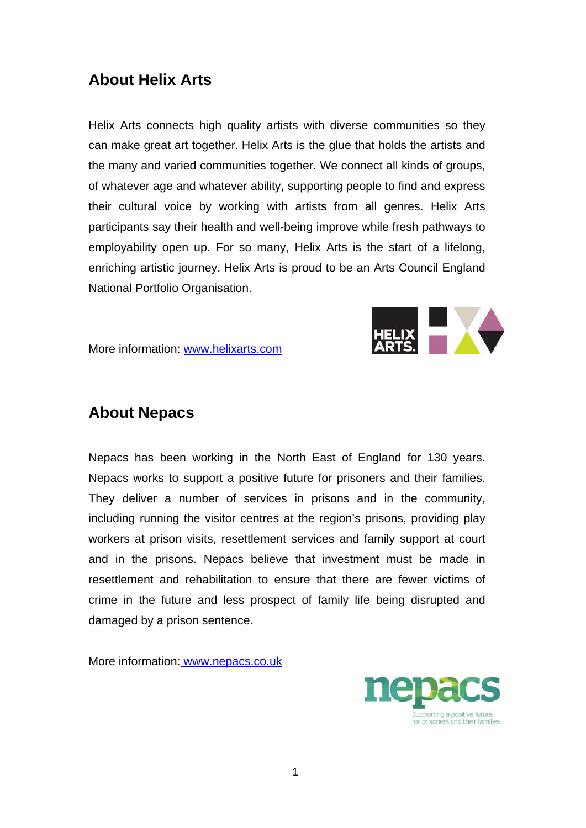## **About Helix Arts**

Helix Arts connects high quality artists with diverse communities so they can make great art together. Helix Arts is the glue that holds the artists and the many and varied communities together. We connect all kinds of groups, of whatever age and whatever ability, supporting people to find and express their cultural voice by working with artists from all genres. Helix Arts participants say their health and well-being improve while fresh pathways to employability open up. For so many, Helix Arts is the start of a lifelong, enriching artistic journey. Helix Arts is proud to be an Arts Council England National Portfolio Organisation.



More information: www.helixarts.com

## **About Nepacs**

Nepacs has been working in the North East of England for 130 years. Nepacs works to support a positive future for prisoners and their families. They deliver a number of services in prisons and in the community, including running the visitor centres at the region's prisons, providing play workers at prison visits, resettlement services and family support at court and in the prisons. Nepacs believe that investment must be made in resettlement and rehabilitation to ensure that there are fewer victims of crime in the future and less prospect of family life being disrupted and damaged by a prison sentence.

More information: www.nepacs.co.uk

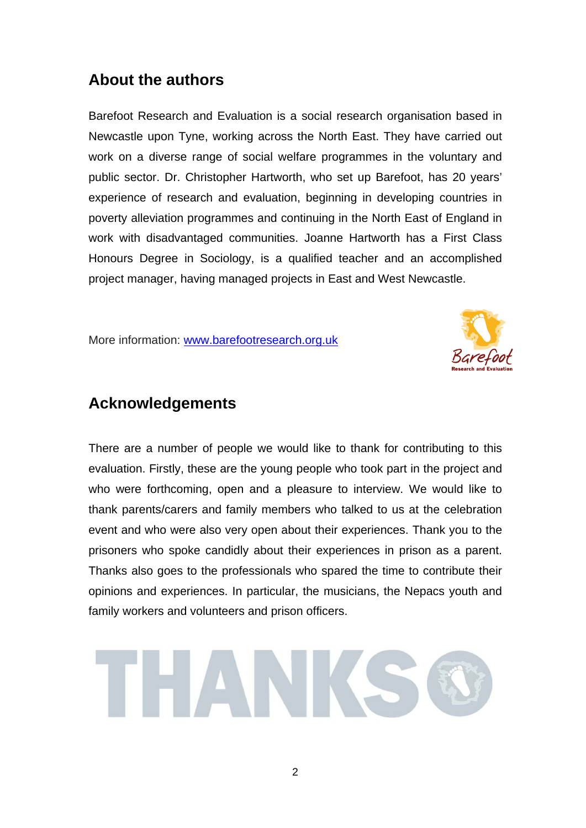### **About the authors**

Barefoot Research and Evaluation is a social research organisation based in Newcastle upon Tyne, working across the North East. They have carried out work on a diverse range of social welfare programmes in the voluntary and public sector. Dr. Christopher Hartworth, who set up Barefoot, has 20 years' experience of research and evaluation, beginning in developing countries in poverty alleviation programmes and continuing in the North East of England in work with disadvantaged communities. Joanne Hartworth has a First Class Honours Degree in Sociology, is a qualified teacher and an accomplished project manager, having managed projects in East and West Newcastle.

More information: www.barefootresearch.org.uk



### **Acknowledgements**

There are a number of people we would like to thank for contributing to this evaluation. Firstly, these are the young people who took part in the project and who were forthcoming, open and a pleasure to interview. We would like to thank parents/carers and family members who talked to us at the celebration event and who were also very open about their experiences. Thank you to the prisoners who spoke candidly about their experiences in prison as a parent. Thanks also goes to the professionals who spared the time to contribute their opinions and experiences. In particular, the musicians, the Nepacs youth and family workers and volunteers and prison officers.

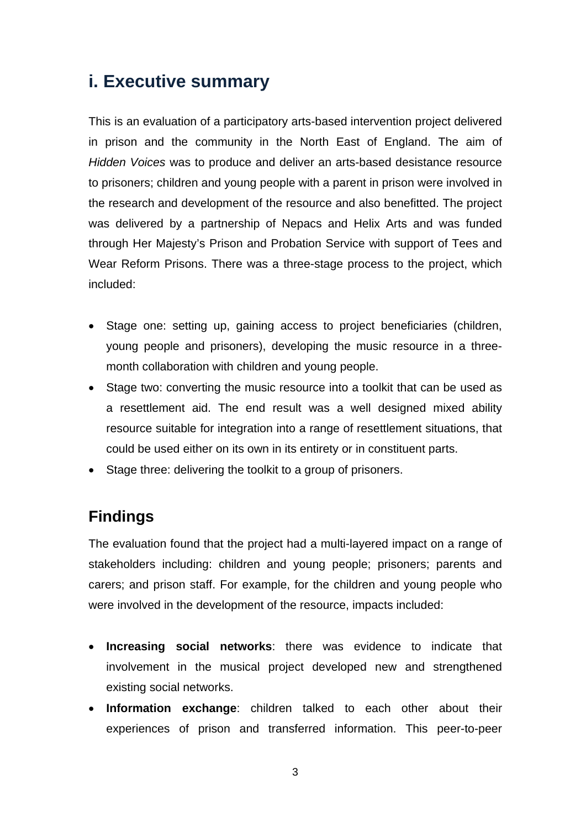# **i. Executive summary**

This is an evaluation of a participatory arts-based intervention project delivered in prison and the community in the North East of England. The aim of *Hidden Voices* was to produce and deliver an arts-based desistance resource to prisoners; children and young people with a parent in prison were involved in the research and development of the resource and also benefitted. The project was delivered by a partnership of Nepacs and Helix Arts and was funded through Her Majesty's Prison and Probation Service with support of Tees and Wear Reform Prisons. There was a three-stage process to the project, which included:

- Stage one: setting up, gaining access to project beneficiaries (children, young people and prisoners), developing the music resource in a threemonth collaboration with children and young people.
- Stage two: converting the music resource into a toolkit that can be used as a resettlement aid. The end result was a well designed mixed ability resource suitable for integration into a range of resettlement situations, that could be used either on its own in its entirety or in constituent parts.
- Stage three: delivering the toolkit to a group of prisoners.

# **Findings**

The evaluation found that the project had a multi-layered impact on a range of stakeholders including: children and young people; prisoners; parents and carers; and prison staff. For example, for the children and young people who were involved in the development of the resource, impacts included:

- **Increasing social networks**: there was evidence to indicate that involvement in the musical project developed new and strengthened existing social networks.
- **Information exchange**: children talked to each other about their experiences of prison and transferred information. This peer-to-peer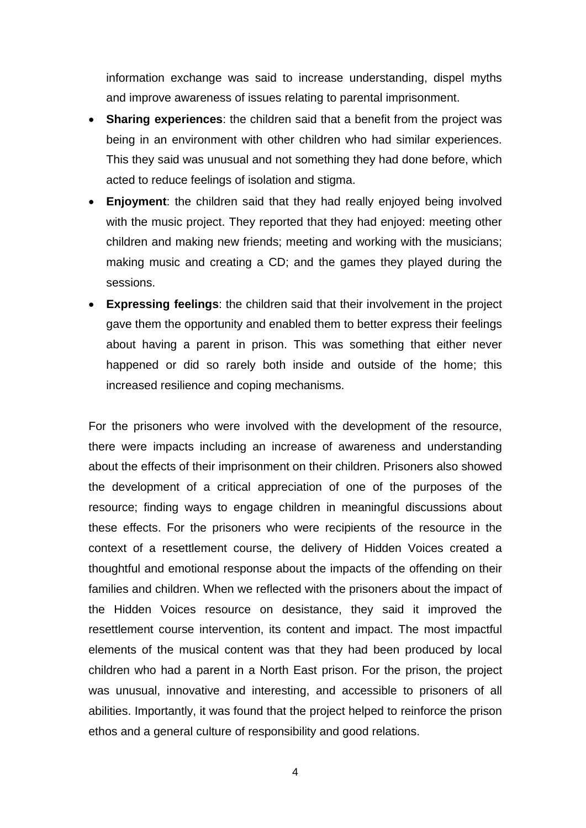information exchange was said to increase understanding, dispel myths and improve awareness of issues relating to parental imprisonment.

- **Sharing experiences**: the children said that a benefit from the project was being in an environment with other children who had similar experiences. This they said was unusual and not something they had done before, which acted to reduce feelings of isolation and stigma.
- **Enjoyment**: the children said that they had really enjoyed being involved with the music project. They reported that they had enjoyed: meeting other children and making new friends; meeting and working with the musicians; making music and creating a CD; and the games they played during the sessions.
- **Expressing feelings**: the children said that their involvement in the project gave them the opportunity and enabled them to better express their feelings about having a parent in prison. This was something that either never happened or did so rarely both inside and outside of the home; this increased resilience and coping mechanisms.

For the prisoners who were involved with the development of the resource, there were impacts including an increase of awareness and understanding about the effects of their imprisonment on their children. Prisoners also showed the development of a critical appreciation of one of the purposes of the resource; finding ways to engage children in meaningful discussions about these effects. For the prisoners who were recipients of the resource in the context of a resettlement course, the delivery of Hidden Voices created a thoughtful and emotional response about the impacts of the offending on their families and children. When we reflected with the prisoners about the impact of the Hidden Voices resource on desistance, they said it improved the resettlement course intervention, its content and impact. The most impactful elements of the musical content was that they had been produced by local children who had a parent in a North East prison. For the prison, the project was unusual, innovative and interesting, and accessible to prisoners of all abilities. Importantly, it was found that the project helped to reinforce the prison ethos and a general culture of responsibility and good relations.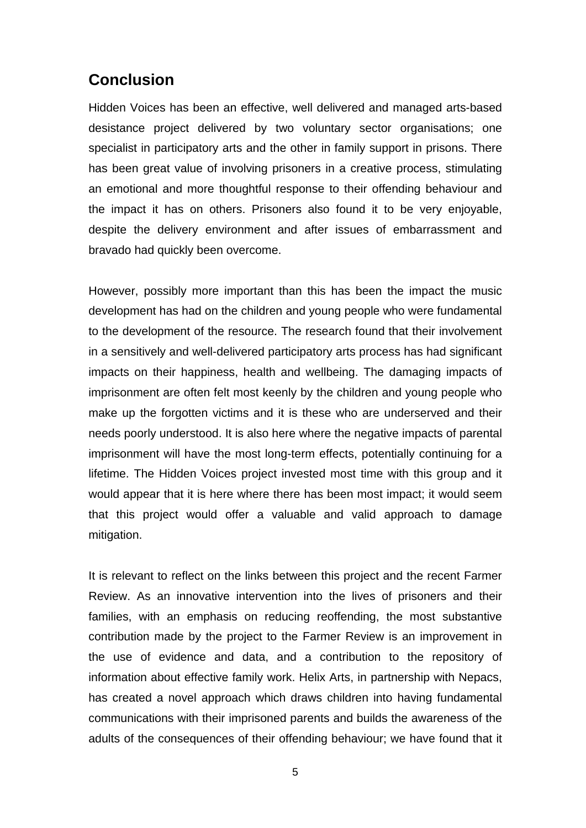### **Conclusion**

Hidden Voices has been an effective, well delivered and managed arts-based desistance project delivered by two voluntary sector organisations; one specialist in participatory arts and the other in family support in prisons. There has been great value of involving prisoners in a creative process, stimulating an emotional and more thoughtful response to their offending behaviour and the impact it has on others. Prisoners also found it to be very enjoyable, despite the delivery environment and after issues of embarrassment and bravado had quickly been overcome.

However, possibly more important than this has been the impact the music development has had on the children and young people who were fundamental to the development of the resource. The research found that their involvement in a sensitively and well-delivered participatory arts process has had significant impacts on their happiness, health and wellbeing. The damaging impacts of imprisonment are often felt most keenly by the children and young people who make up the forgotten victims and it is these who are underserved and their needs poorly understood. It is also here where the negative impacts of parental imprisonment will have the most long-term effects, potentially continuing for a lifetime. The Hidden Voices project invested most time with this group and it would appear that it is here where there has been most impact; it would seem that this project would offer a valuable and valid approach to damage mitigation.

It is relevant to reflect on the links between this project and the recent Farmer Review. As an innovative intervention into the lives of prisoners and their families, with an emphasis on reducing reoffending, the most substantive contribution made by the project to the Farmer Review is an improvement in the use of evidence and data, and a contribution to the repository of information about effective family work. Helix Arts, in partnership with Nepacs, has created a novel approach which draws children into having fundamental communications with their imprisoned parents and builds the awareness of the adults of the consequences of their offending behaviour; we have found that it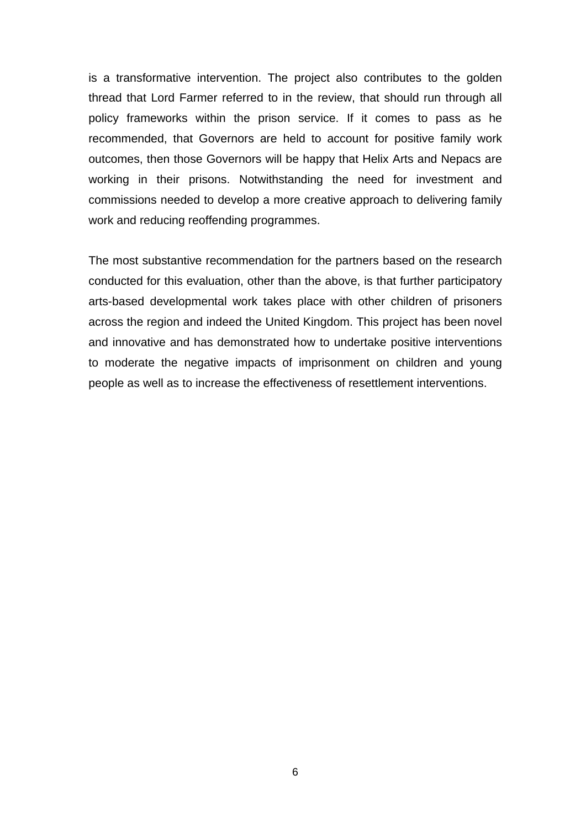is a transformative intervention. The project also contributes to the golden thread that Lord Farmer referred to in the review, that should run through all policy frameworks within the prison service. If it comes to pass as he recommended, that Governors are held to account for positive family work outcomes, then those Governors will be happy that Helix Arts and Nepacs are working in their prisons. Notwithstanding the need for investment and commissions needed to develop a more creative approach to delivering family work and reducing reoffending programmes.

The most substantive recommendation for the partners based on the research conducted for this evaluation, other than the above, is that further participatory arts-based developmental work takes place with other children of prisoners across the region and indeed the United Kingdom. This project has been novel and innovative and has demonstrated how to undertake positive interventions to moderate the negative impacts of imprisonment on children and young people as well as to increase the effectiveness of resettlement interventions.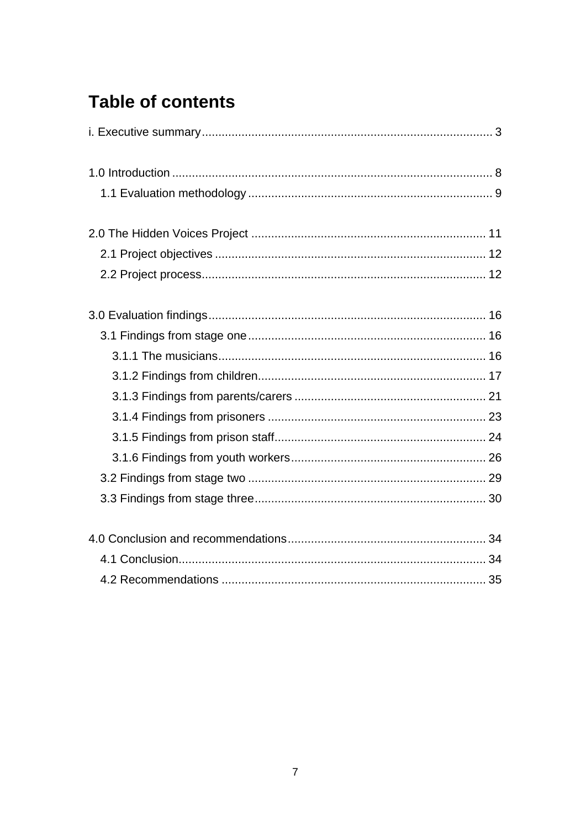# **Table of contents**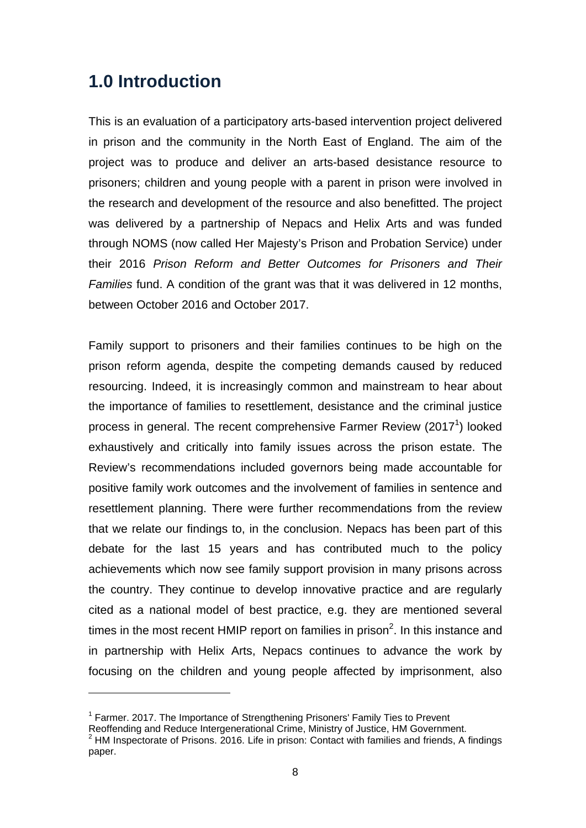# **1.0 Introduction**

This is an evaluation of a participatory arts-based intervention project delivered in prison and the community in the North East of England. The aim of the project was to produce and deliver an arts-based desistance resource to prisoners; children and young people with a parent in prison were involved in the research and development of the resource and also benefitted. The project was delivered by a partnership of Nepacs and Helix Arts and was funded through NOMS (now called Her Majesty's Prison and Probation Service) under their 2016 *Prison Reform and Better Outcomes for Prisoners and Their Families* fund. A condition of the grant was that it was delivered in 12 months, between October 2016 and October 2017.

Family support to prisoners and their families continues to be high on the prison reform agenda, despite the competing demands caused by reduced resourcing. Indeed, it is increasingly common and mainstream to hear about the importance of families to resettlement, desistance and the criminal justice process in general. The recent comprehensive Farmer Review (2017<sup>1</sup>) looked exhaustively and critically into family issues across the prison estate. The Review's recommendations included governors being made accountable for positive family work outcomes and the involvement of families in sentence and resettlement planning. There were further recommendations from the review that we relate our findings to, in the conclusion. Nepacs has been part of this debate for the last 15 years and has contributed much to the policy achievements which now see family support provision in many prisons across the country. They continue to develop innovative practice and are regularly cited as a national model of best practice, e.g. they are mentioned several times in the most recent HMIP report on families in prison<sup>2</sup>. In this instance and in partnership with Helix Arts, Nepacs continues to advance the work by focusing on the children and young people affected by imprisonment, also

<sup>&</sup>lt;sup>1</sup> Farmer. 2017. The Importance of Strengthening Prisoners' Family Ties to Prevent

Reoffending and Reduce Intergenerational Crime, Ministry of Justice, HM Government. 2

 $2$  HM Inspectorate of Prisons. 2016. Life in prison: Contact with families and friends, A findings paper.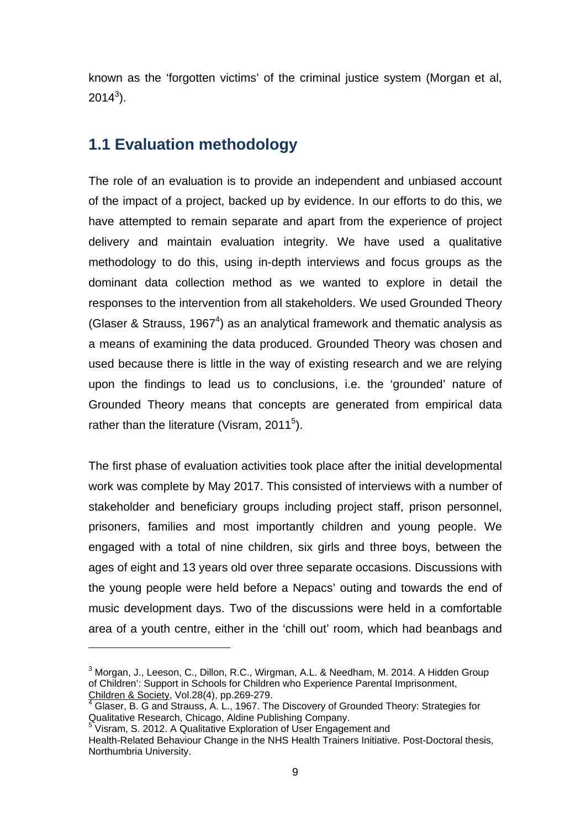known as the 'forgotten victims' of the criminal justice system (Morgan et al,  $2014^3$ ).

### **1.1 Evaluation methodology**

The role of an evaluation is to provide an independent and unbiased account of the impact of a project, backed up by evidence. In our efforts to do this, we have attempted to remain separate and apart from the experience of project delivery and maintain evaluation integrity. We have used a qualitative methodology to do this, using in-depth interviews and focus groups as the dominant data collection method as we wanted to explore in detail the responses to the intervention from all stakeholders. We used Grounded Theory (Glaser & Strauss, 1967<sup>4</sup>) as an analytical framework and thematic analysis as a means of examining the data produced. Grounded Theory was chosen and used because there is little in the way of existing research and we are relying upon the findings to lead us to conclusions, i.e. the 'grounded' nature of Grounded Theory means that concepts are generated from empirical data rather than the literature (Visram, 2011 $5$ ).

The first phase of evaluation activities took place after the initial developmental work was complete by May 2017. This consisted of interviews with a number of stakeholder and beneficiary groups including project staff, prison personnel, prisoners, families and most importantly children and young people. We engaged with a total of nine children, six girls and three boys, between the ages of eight and 13 years old over three separate occasions. Discussions with the young people were held before a Nepacs' outing and towards the end of music development days. Two of the discussions were held in a comfortable area of a youth centre, either in the 'chill out' room, which had beanbags and

<sup>&</sup>lt;sup>3</sup> Morgan, J., Leeson, C., Dillon, R.C., Wirgman, A.L. & Needham, M. 2014. A Hidden Group of Children': Support in Schools for Children who Experience Parental Imprisonment, <u>Children & Society,</u> Vol.28(4), pp.269-279.<br><sup>4</sup> Glaser, B. G and Strauss, A. L., 1967. The Discovery of Grounded Theory: Strategies for

Qualitative Research, Chicago, Aldine Publishing Company.

<sup>&</sup>lt;sup>5</sup> Visram, S. 2012. A Qualitative Exploration of User Engagement and

Health-Related Behaviour Change in the NHS Health Trainers Initiative. Post-Doctoral thesis, Northumbria University.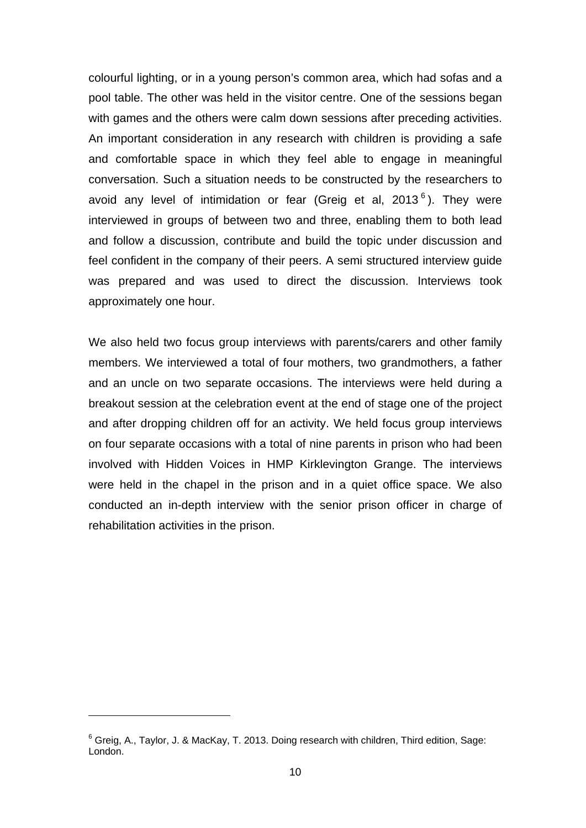colourful lighting, or in a young person's common area, which had sofas and a pool table. The other was held in the visitor centre. One of the sessions began with games and the others were calm down sessions after preceding activities. An important consideration in any research with children is providing a safe and comfortable space in which they feel able to engage in meaningful conversation. Such a situation needs to be constructed by the researchers to avoid any level of intimidation or fear (Greig et al,  $2013^6$ ). They were interviewed in groups of between two and three, enabling them to both lead and follow a discussion, contribute and build the topic under discussion and feel confident in the company of their peers. A semi structured interview guide was prepared and was used to direct the discussion. Interviews took approximately one hour.

We also held two focus group interviews with parents/carers and other family members. We interviewed a total of four mothers, two grandmothers, a father and an uncle on two separate occasions. The interviews were held during a breakout session at the celebration event at the end of stage one of the project and after dropping children off for an activity. We held focus group interviews on four separate occasions with a total of nine parents in prison who had been involved with Hidden Voices in HMP Kirklevington Grange. The interviews were held in the chapel in the prison and in a quiet office space. We also conducted an in-depth interview with the senior prison officer in charge of rehabilitation activities in the prison.

 $6$  Greig, A., Taylor, J. & MacKay, T. 2013. Doing research with children, Third edition, Sage: London.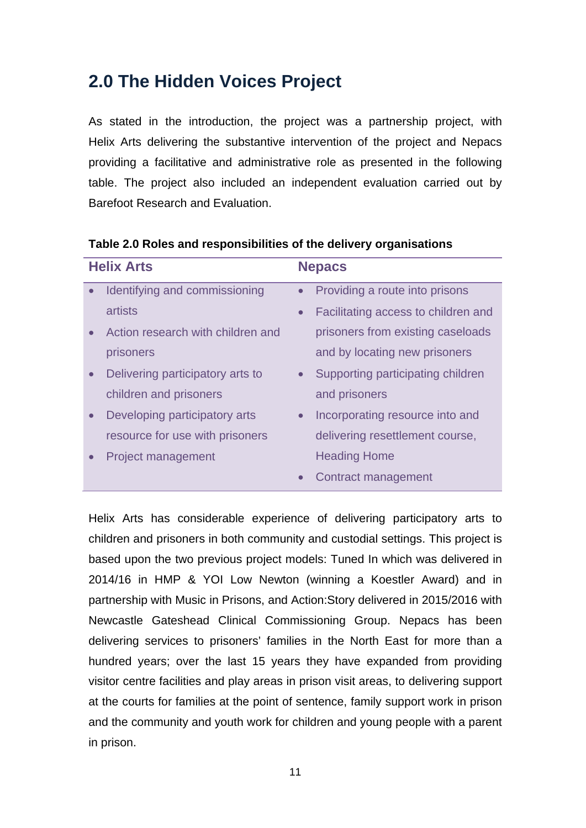# **2.0 The Hidden Voices Project**

As stated in the introduction, the project was a partnership project, with Helix Arts delivering the substantive intervention of the project and Nepacs providing a facilitative and administrative role as presented in the following table. The project also included an independent evaluation carried out by Barefoot Research and Evaluation.

| <b>Helix Arts</b> |                                   | <b>Nepacs</b> |                                     |
|-------------------|-----------------------------------|---------------|-------------------------------------|
| $\bullet$         | Identifying and commissioning     | $\bullet$     | Providing a route into prisons      |
|                   | artists                           | $\bullet$     | Facilitating access to children and |
|                   | Action research with children and |               | prisoners from existing caseloads   |
|                   | prisoners                         |               | and by locating new prisoners       |
| $\bullet$         | Delivering participatory arts to  |               | • Supporting participating children |
|                   | children and prisoners            |               | and prisoners                       |
| $\bullet$         | Developing participatory arts     | $\bullet$     | Incorporating resource into and     |
|                   | resource for use with prisoners   |               | delivering resettlement course,     |
|                   | <b>Project management</b>         |               | <b>Heading Home</b>                 |
|                   |                                   |               | Contract management                 |

**Table 2.0 Roles and responsibilities of the delivery organisations** 

Helix Arts has considerable experience of delivering participatory arts to children and prisoners in both community and custodial settings. This project is based upon the two previous project models: Tuned In which was delivered in 2014/16 in HMP & YOI Low Newton (winning a Koestler Award) and in partnership with Music in Prisons, and Action:Story delivered in 2015/2016 with Newcastle Gateshead Clinical Commissioning Group. Nepacs has been delivering services to prisoners' families in the North East for more than a hundred years; over the last 15 years they have expanded from providing visitor centre facilities and play areas in prison visit areas, to delivering support at the courts for families at the point of sentence, family support work in prison and the community and youth work for children and young people with a parent in prison.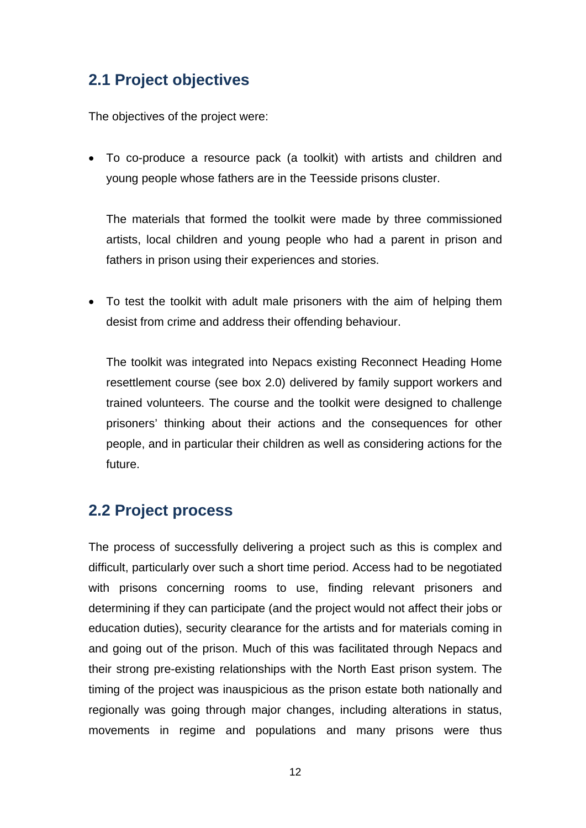# **2.1 Project objectives**

The objectives of the project were:

 To co-produce a resource pack (a toolkit) with artists and children and young people whose fathers are in the Teesside prisons cluster.

The materials that formed the toolkit were made by three commissioned artists, local children and young people who had a parent in prison and fathers in prison using their experiences and stories.

• To test the toolkit with adult male prisoners with the aim of helping them desist from crime and address their offending behaviour.

The toolkit was integrated into Nepacs existing Reconnect Heading Home resettlement course (see box 2.0) delivered by family support workers and trained volunteers. The course and the toolkit were designed to challenge prisoners' thinking about their actions and the consequences for other people, and in particular their children as well as considering actions for the future.

## **2.2 Project process**

The process of successfully delivering a project such as this is complex and difficult, particularly over such a short time period. Access had to be negotiated with prisons concerning rooms to use, finding relevant prisoners and determining if they can participate (and the project would not affect their jobs or education duties), security clearance for the artists and for materials coming in and going out of the prison. Much of this was facilitated through Nepacs and their strong pre-existing relationships with the North East prison system. The timing of the project was inauspicious as the prison estate both nationally and regionally was going through major changes, including alterations in status, movements in regime and populations and many prisons were thus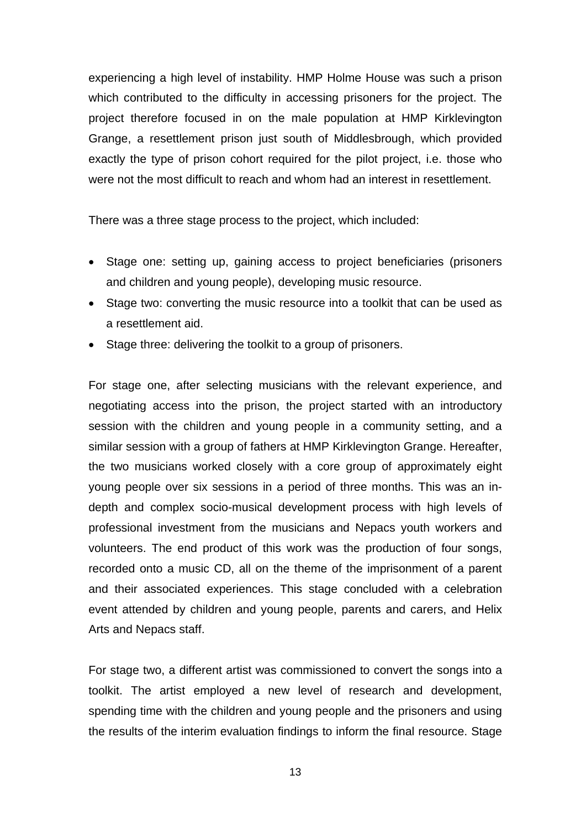experiencing a high level of instability. HMP Holme House was such a prison which contributed to the difficulty in accessing prisoners for the project. The project therefore focused in on the male population at HMP Kirklevington Grange, a resettlement prison just south of Middlesbrough, which provided exactly the type of prison cohort required for the pilot project, i.e. those who were not the most difficult to reach and whom had an interest in resettlement.

There was a three stage process to the project, which included:

- Stage one: setting up, gaining access to project beneficiaries (prisoners and children and young people), developing music resource.
- Stage two: converting the music resource into a toolkit that can be used as a resettlement aid.
- Stage three: delivering the toolkit to a group of prisoners.

For stage one, after selecting musicians with the relevant experience, and negotiating access into the prison, the project started with an introductory session with the children and young people in a community setting, and a similar session with a group of fathers at HMP Kirklevington Grange. Hereafter, the two musicians worked closely with a core group of approximately eight young people over six sessions in a period of three months. This was an indepth and complex socio-musical development process with high levels of professional investment from the musicians and Nepacs youth workers and volunteers. The end product of this work was the production of four songs, recorded onto a music CD, all on the theme of the imprisonment of a parent and their associated experiences. This stage concluded with a celebration event attended by children and young people, parents and carers, and Helix Arts and Nepacs staff.

For stage two, a different artist was commissioned to convert the songs into a toolkit. The artist employed a new level of research and development, spending time with the children and young people and the prisoners and using the results of the interim evaluation findings to inform the final resource. Stage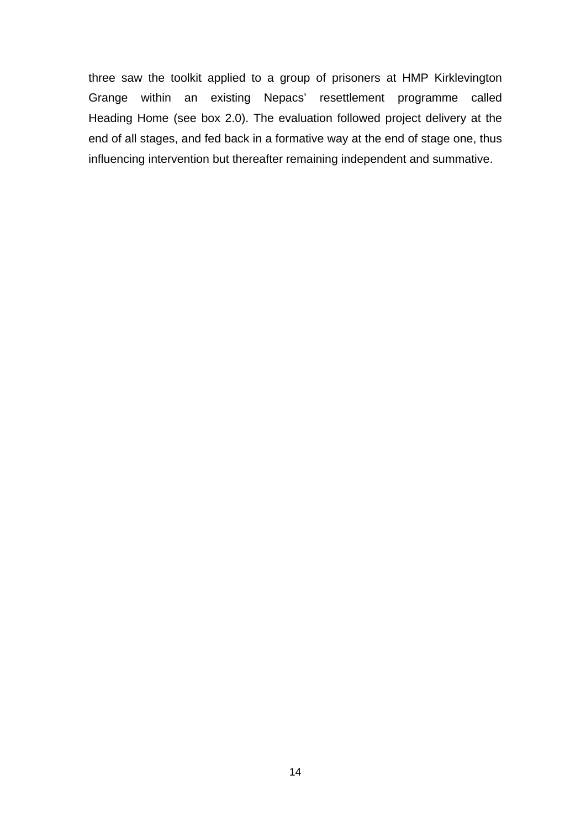three saw the toolkit applied to a group of prisoners at HMP Kirklevington Grange within an existing Nepacs' resettlement programme called Heading Home (see box 2.0). The evaluation followed project delivery at the end of all stages, and fed back in a formative way at the end of stage one, thus influencing intervention but thereafter remaining independent and summative.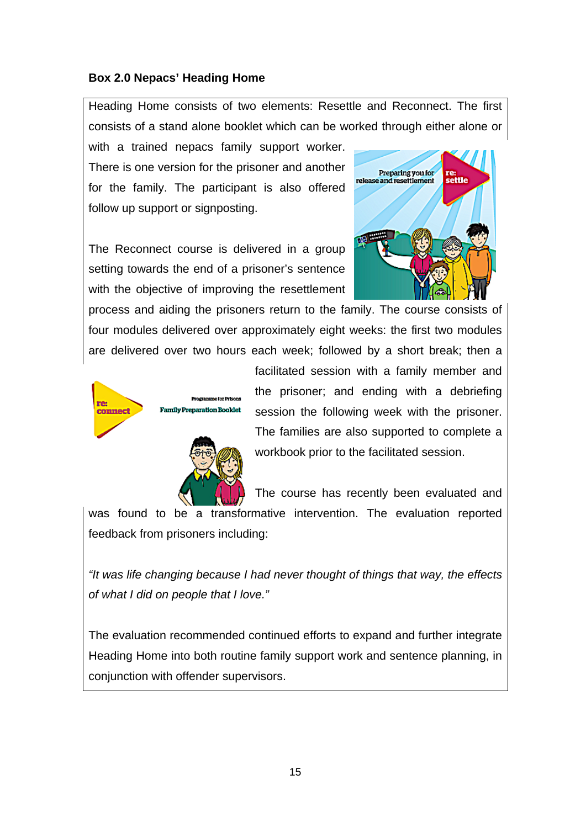#### **Box 2.0 Nepacs' Heading Home**

Heading Home consists of two elements: Resettle and Reconnect. The first consists of a stand alone booklet which can be worked through either alone or

with a trained nepacs family support worker. There is one version for the prisoner and another for the family. The participant is also offered follow up support or signposting.

The Reconnect course is delivered in a group setting towards the end of a prisoner's sentence with the objective of improving the resettlement



process and aiding the prisoners return to the family. The course consists of four modules delivered over approximately eight weeks: the first two modules are delivered over two hours each week; followed by a short break; then a





facilitated session with a family member and the prisoner; and ending with a debriefing session the following week with the prisoner. The families are also supported to complete a workbook prior to the facilitated session.

The course has recently been evaluated and

was found to be a transformative intervention. The evaluation reported feedback from prisoners including:

*"It was life changing because I had never thought of things that way, the effects of what I did on people that I love."* 

The evaluation recommended continued efforts to expand and further integrate Heading Home into both routine family support work and sentence planning, in conjunction with offender supervisors.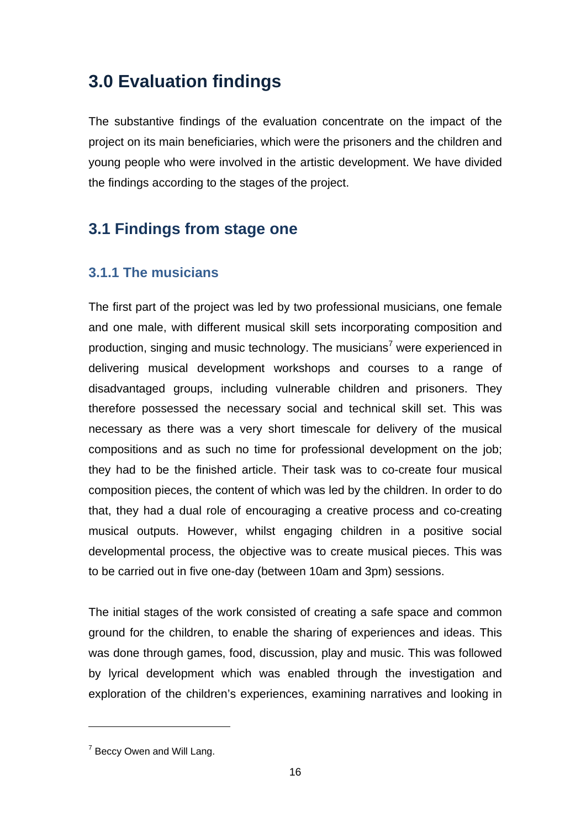# **3.0 Evaluation findings**

The substantive findings of the evaluation concentrate on the impact of the project on its main beneficiaries, which were the prisoners and the children and young people who were involved in the artistic development. We have divided the findings according to the stages of the project.

# **3.1 Findings from stage one**

### **3.1.1 The musicians**

The first part of the project was led by two professional musicians, one female and one male, with different musical skill sets incorporating composition and production, singing and music technology. The musicians<sup>7</sup> were experienced in delivering musical development workshops and courses to a range of disadvantaged groups, including vulnerable children and prisoners. They therefore possessed the necessary social and technical skill set. This was necessary as there was a very short timescale for delivery of the musical compositions and as such no time for professional development on the job; they had to be the finished article. Their task was to co-create four musical composition pieces, the content of which was led by the children. In order to do that, they had a dual role of encouraging a creative process and co-creating musical outputs. However, whilst engaging children in a positive social developmental process, the objective was to create musical pieces. This was to be carried out in five one-day (between 10am and 3pm) sessions.

The initial stages of the work consisted of creating a safe space and common ground for the children, to enable the sharing of experiences and ideas. This was done through games, food, discussion, play and music. This was followed by lyrical development which was enabled through the investigation and exploration of the children's experiences, examining narratives and looking in

 $7$  Beccy Owen and Will Lang.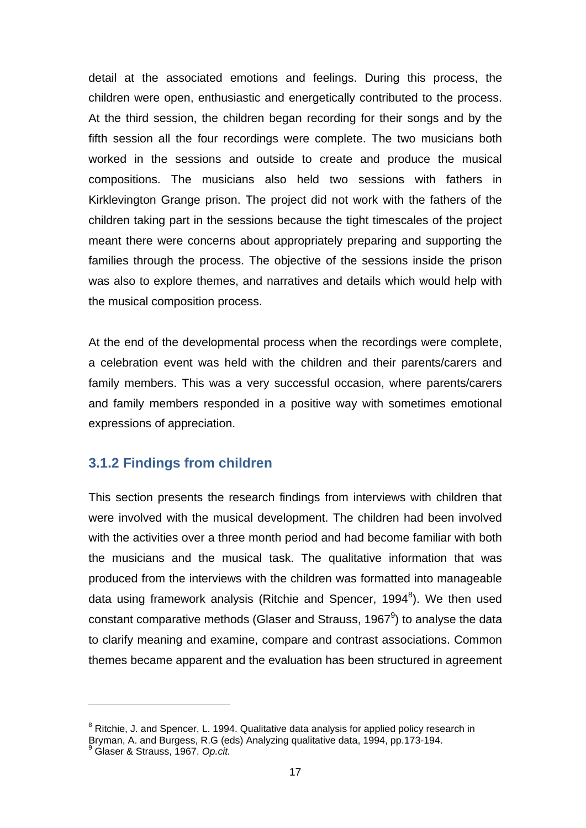detail at the associated emotions and feelings. During this process, the children were open, enthusiastic and energetically contributed to the process. At the third session, the children began recording for their songs and by the fifth session all the four recordings were complete. The two musicians both worked in the sessions and outside to create and produce the musical compositions. The musicians also held two sessions with fathers in Kirklevington Grange prison. The project did not work with the fathers of the children taking part in the sessions because the tight timescales of the project meant there were concerns about appropriately preparing and supporting the families through the process. The objective of the sessions inside the prison was also to explore themes, and narratives and details which would help with the musical composition process.

At the end of the developmental process when the recordings were complete, a celebration event was held with the children and their parents/carers and family members. This was a very successful occasion, where parents/carers and family members responded in a positive way with sometimes emotional expressions of appreciation.

#### **3.1.2 Findings from children**

This section presents the research findings from interviews with children that were involved with the musical development. The children had been involved with the activities over a three month period and had become familiar with both the musicians and the musical task. The qualitative information that was produced from the interviews with the children was formatted into manageable data using framework analysis (Ritchie and Spencer, 1994<sup>8</sup>). We then used constant comparative methods (Glaser and Strauss, 1967 $9$ ) to analyse the data to clarify meaning and examine, compare and contrast associations. Common themes became apparent and the evaluation has been structured in agreement

<sup>&</sup>lt;sup>8</sup> Ritchie, J. and Spencer, L. 1994. Qualitative data analysis for applied policy research in Bryman, A. and Burgess, R.G (eds) Analyzing qualitative data, 1994, pp.173-194.

Glaser & Strauss, 1967. *Op.cit.*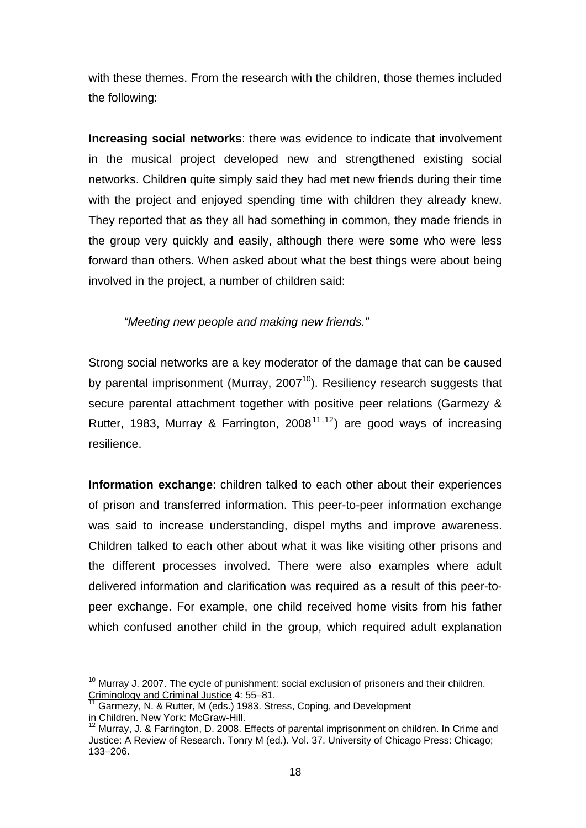with these themes. From the research with the children, those themes included the following:

**Increasing social networks**: there was evidence to indicate that involvement in the musical project developed new and strengthened existing social networks. Children quite simply said they had met new friends during their time with the project and enjoyed spending time with children they already knew. They reported that as they all had something in common, they made friends in the group very quickly and easily, although there were some who were less forward than others. When asked about what the best things were about being involved in the project, a number of children said:

*"Meeting new people and making new friends."* 

Strong social networks are a key moderator of the damage that can be caused by parental imprisonment (Murray, 2007<sup>10</sup>). Resiliency research suggests that secure parental attachment together with positive peer relations (Garmezy & Rutter, 1983, Murray & Farrington, 2008<sup>11,12</sup>) are good ways of increasing resilience.

**Information exchange**: children talked to each other about their experiences of prison and transferred information. This peer-to-peer information exchange was said to increase understanding, dispel myths and improve awareness. Children talked to each other about what it was like visiting other prisons and the different processes involved. There were also examples where adult delivered information and clarification was required as a result of this peer-topeer exchange. For example, one child received home visits from his father which confused another child in the group, which required adult explanation

 $10$  Murray J. 2007. The cycle of punishment: social exclusion of prisoners and their children. Criminology and Criminal Justice 4: 55–81.

Garmezy, N. & Rutter, M (eds.) 1983. Stress, Coping, and Development

in Children. New York: McGraw-Hill.

<sup>&</sup>lt;sup>12</sup> Murray, J. & Farrington, D. 2008. Effects of parental imprisonment on children. In Crime and Justice: A Review of Research. Tonry M (ed.). Vol. 37. University of Chicago Press: Chicago; 133–206.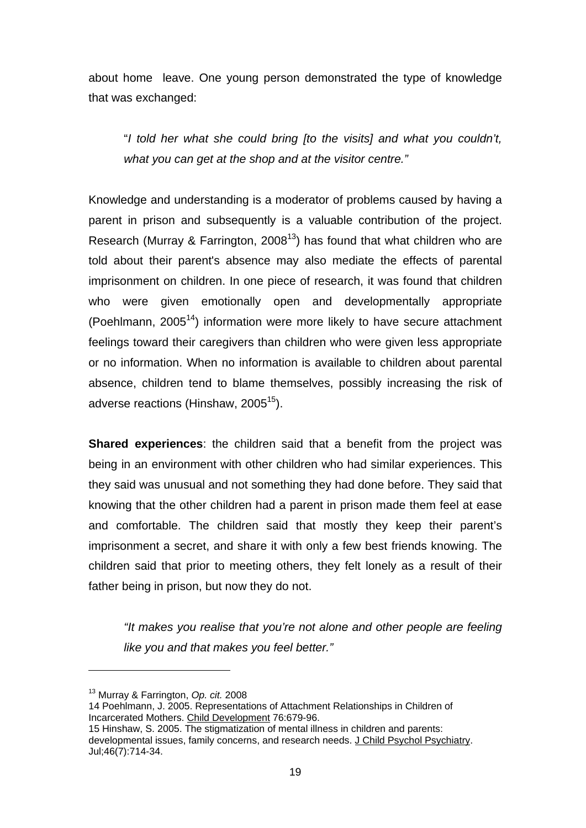about home leave. One young person demonstrated the type of knowledge that was exchanged:

"*I told her what she could bring [to the visits] and what you couldn't, what you can get at the shop and at the visitor centre."* 

Knowledge and understanding is a moderator of problems caused by having a parent in prison and subsequently is a valuable contribution of the project. Research (Murray & Farrington, 2008<sup>13</sup>) has found that what children who are told about their parent's absence may also mediate the effects of parental imprisonment on children. In one piece of research, it was found that children who were given emotionally open and developmentally appropriate (Poehlmann,  $2005<sup>14</sup>$ ) information were more likely to have secure attachment feelings toward their caregivers than children who were given less appropriate or no information. When no information is available to children about parental absence, children tend to blame themselves, possibly increasing the risk of adverse reactions (Hinshaw,  $2005^{15}$ ).

**Shared experiences**: the children said that a benefit from the project was being in an environment with other children who had similar experiences. This they said was unusual and not something they had done before. They said that knowing that the other children had a parent in prison made them feel at ease and comfortable. The children said that mostly they keep their parent's imprisonment a secret, and share it with only a few best friends knowing. The children said that prior to meeting others, they felt lonely as a result of their father being in prison, but now they do not.

*"It makes you realise that you're not alone and other people are feeling like you and that makes you feel better."* 

<sup>13</sup> Murray & Farrington, *Op. cit.* 2008

<sup>14</sup> Poehlmann, J. 2005. Representations of Attachment Relationships in Children of Incarcerated Mothers. Child Development 76:679-96.

<sup>15</sup> Hinshaw, S. 2005. The stigmatization of mental illness in children and parents: developmental issues, family concerns, and research needs. J Child Psychol Psychiatry. Jul;46(7):714-34.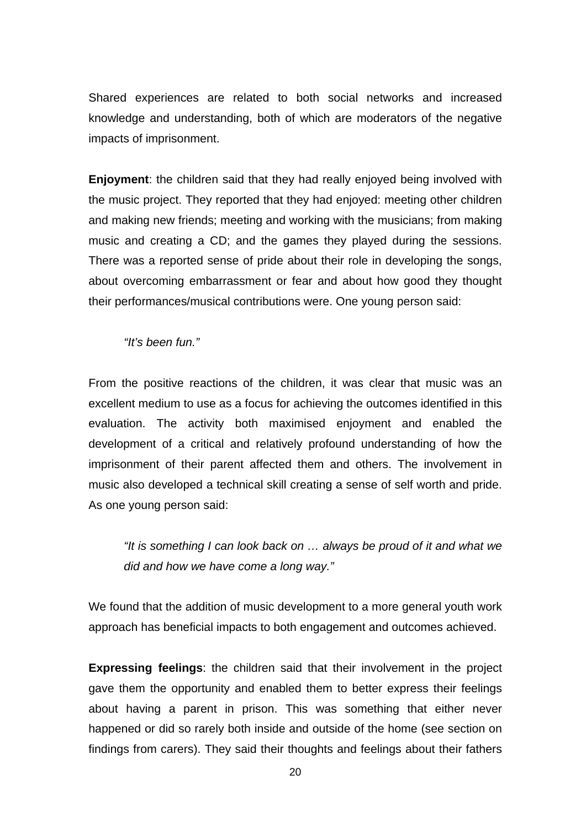Shared experiences are related to both social networks and increased knowledge and understanding, both of which are moderators of the negative impacts of imprisonment.

**Enjoyment**: the children said that they had really enjoyed being involved with the music project. They reported that they had enjoyed: meeting other children and making new friends; meeting and working with the musicians; from making music and creating a CD; and the games they played during the sessions. There was a reported sense of pride about their role in developing the songs, about overcoming embarrassment or fear and about how good they thought their performances/musical contributions were. One young person said:

*"It's been fun."* 

From the positive reactions of the children, it was clear that music was an excellent medium to use as a focus for achieving the outcomes identified in this evaluation. The activity both maximised enjoyment and enabled the development of a critical and relatively profound understanding of how the imprisonment of their parent affected them and others. The involvement in music also developed a technical skill creating a sense of self worth and pride. As one young person said:

*"It is something I can look back on … always be proud of it and what we did and how we have come a long way."* 

We found that the addition of music development to a more general youth work approach has beneficial impacts to both engagement and outcomes achieved.

**Expressing feelings**: the children said that their involvement in the project gave them the opportunity and enabled them to better express their feelings about having a parent in prison. This was something that either never happened or did so rarely both inside and outside of the home (see section on findings from carers). They said their thoughts and feelings about their fathers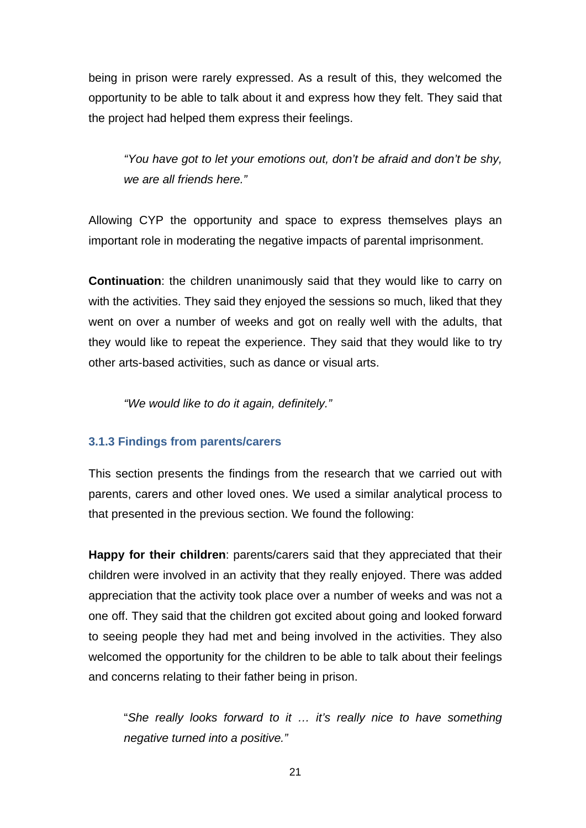being in prison were rarely expressed. As a result of this, they welcomed the opportunity to be able to talk about it and express how they felt. They said that the project had helped them express their feelings.

*"You have got to let your emotions out, don't be afraid and don't be shy, we are all friends here."* 

Allowing CYP the opportunity and space to express themselves plays an important role in moderating the negative impacts of parental imprisonment.

**Continuation**: the children unanimously said that they would like to carry on with the activities. They said they enjoyed the sessions so much, liked that they went on over a number of weeks and got on really well with the adults, that they would like to repeat the experience. They said that they would like to try other arts-based activities, such as dance or visual arts.

*"We would like to do it again, definitely."* 

#### **3.1.3 Findings from parents/carers**

This section presents the findings from the research that we carried out with parents, carers and other loved ones. We used a similar analytical process to that presented in the previous section. We found the following:

**Happy for their children**: parents/carers said that they appreciated that their children were involved in an activity that they really enjoyed. There was added appreciation that the activity took place over a number of weeks and was not a one off. They said that the children got excited about going and looked forward to seeing people they had met and being involved in the activities. They also welcomed the opportunity for the children to be able to talk about their feelings and concerns relating to their father being in prison.

"*She really looks forward to it … it's really nice to have something negative turned into a positive."*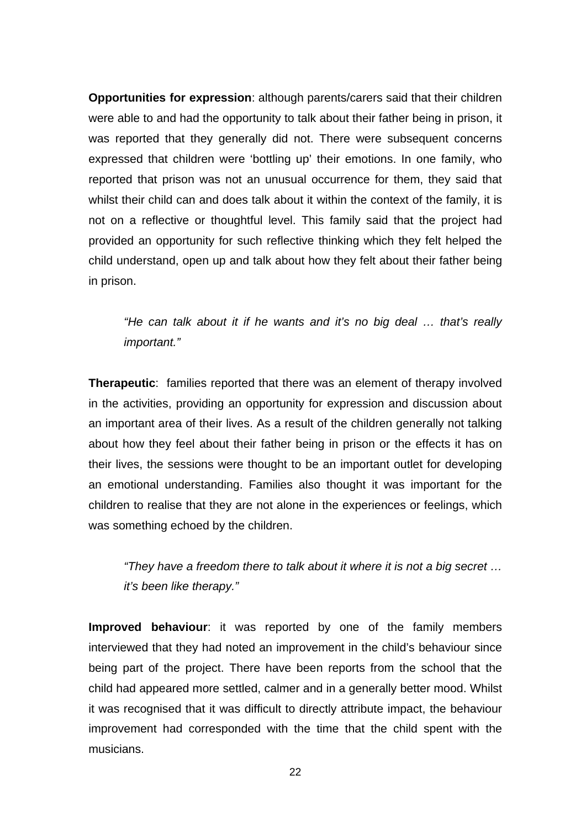**Opportunities for expression**: although parents/carers said that their children were able to and had the opportunity to talk about their father being in prison, it was reported that they generally did not. There were subsequent concerns expressed that children were 'bottling up' their emotions. In one family, who reported that prison was not an unusual occurrence for them, they said that whilst their child can and does talk about it within the context of the family, it is not on a reflective or thoughtful level. This family said that the project had provided an opportunity for such reflective thinking which they felt helped the child understand, open up and talk about how they felt about their father being in prison.

*"He can talk about it if he wants and it's no big deal … that's really important."* 

**Therapeutic**: families reported that there was an element of therapy involved in the activities, providing an opportunity for expression and discussion about an important area of their lives. As a result of the children generally not talking about how they feel about their father being in prison or the effects it has on their lives, the sessions were thought to be an important outlet for developing an emotional understanding. Families also thought it was important for the children to realise that they are not alone in the experiences or feelings, which was something echoed by the children.

*"They have a freedom there to talk about it where it is not a big secret … it's been like therapy."* 

**Improved behaviour**: it was reported by one of the family members interviewed that they had noted an improvement in the child's behaviour since being part of the project. There have been reports from the school that the child had appeared more settled, calmer and in a generally better mood. Whilst it was recognised that it was difficult to directly attribute impact, the behaviour improvement had corresponded with the time that the child spent with the musicians.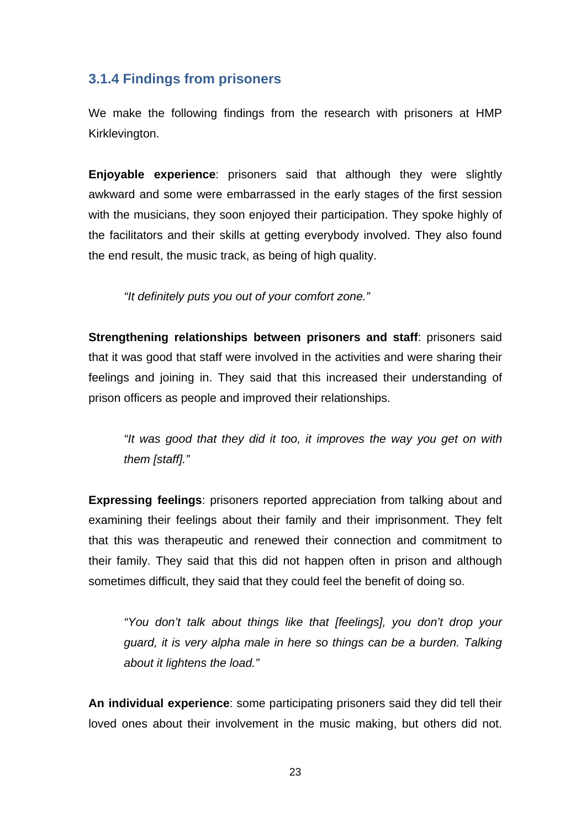### **3.1.4 Findings from prisoners**

We make the following findings from the research with prisoners at HMP Kirklevington.

**Enjoyable experience**: prisoners said that although they were slightly awkward and some were embarrassed in the early stages of the first session with the musicians, they soon enjoyed their participation. They spoke highly of the facilitators and their skills at getting everybody involved. They also found the end result, the music track, as being of high quality.

*"It definitely puts you out of your comfort zone."* 

**Strengthening relationships between prisoners and staff**: prisoners said that it was good that staff were involved in the activities and were sharing their feelings and joining in. They said that this increased their understanding of prison officers as people and improved their relationships.

*"It was good that they did it too, it improves the way you get on with them [staff]."* 

**Expressing feelings**: prisoners reported appreciation from talking about and examining their feelings about their family and their imprisonment. They felt that this was therapeutic and renewed their connection and commitment to their family. They said that this did not happen often in prison and although sometimes difficult, they said that they could feel the benefit of doing so.

*"You don't talk about things like that [feelings], you don't drop your guard, it is very alpha male in here so things can be a burden. Talking about it lightens the load."* 

**An individual experience**: some participating prisoners said they did tell their loved ones about their involvement in the music making, but others did not.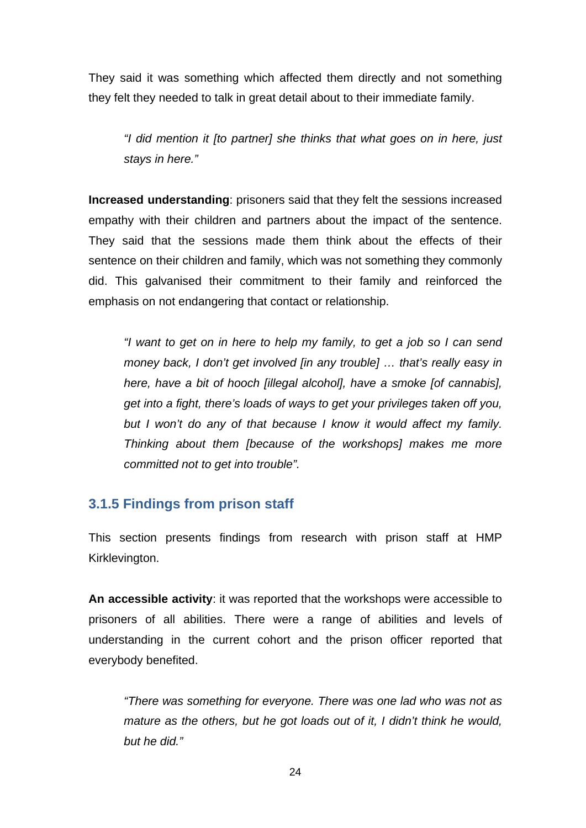They said it was something which affected them directly and not something they felt they needed to talk in great detail about to their immediate family.

*"I did mention it [to partner] she thinks that what goes on in here, just stays in here."* 

**Increased understanding**: prisoners said that they felt the sessions increased empathy with their children and partners about the impact of the sentence. They said that the sessions made them think about the effects of their sentence on their children and family, which was not something they commonly did. This galvanised their commitment to their family and reinforced the emphasis on not endangering that contact or relationship.

*"I want to get on in here to help my family, to get a job so I can send money back, I don't get involved [in any trouble] … that's really easy in here, have a bit of hooch [illegal alcohol], have a smoke [of cannabis], get into a fight, there's loads of ways to get your privileges taken off you, but I won't do any of that because I know it would affect my family. Thinking about them [because of the workshops] makes me more committed not to get into trouble".* 

#### **3.1.5 Findings from prison staff**

This section presents findings from research with prison staff at HMP Kirklevington.

**An accessible activity**: it was reported that the workshops were accessible to prisoners of all abilities. There were a range of abilities and levels of understanding in the current cohort and the prison officer reported that everybody benefited.

*"There was something for everyone. There was one lad who was not as mature as the others, but he got loads out of it, I didn't think he would, but he did."*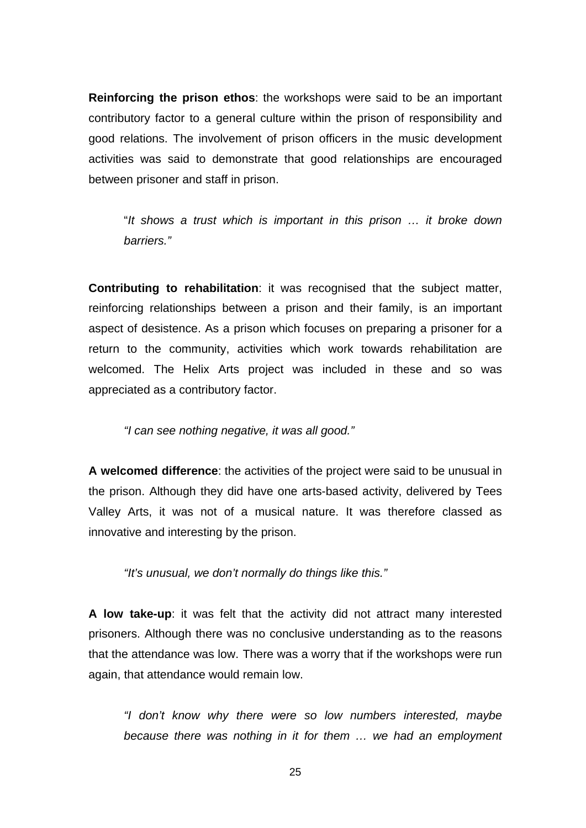**Reinforcing the prison ethos**: the workshops were said to be an important contributory factor to a general culture within the prison of responsibility and good relations. The involvement of prison officers in the music development activities was said to demonstrate that good relationships are encouraged between prisoner and staff in prison.

"*It shows a trust which is important in this prison … it broke down barriers."* 

**Contributing to rehabilitation**: it was recognised that the subject matter, reinforcing relationships between a prison and their family, is an important aspect of desistence. As a prison which focuses on preparing a prisoner for a return to the community, activities which work towards rehabilitation are welcomed. The Helix Arts project was included in these and so was appreciated as a contributory factor.

*"I can see nothing negative, it was all good."* 

**A welcomed difference**: the activities of the project were said to be unusual in the prison. Although they did have one arts-based activity, delivered by Tees Valley Arts, it was not of a musical nature. It was therefore classed as innovative and interesting by the prison.

*"It's unusual, we don't normally do things like this."* 

**A low take-up**: it was felt that the activity did not attract many interested prisoners. Although there was no conclusive understanding as to the reasons that the attendance was low. There was a worry that if the workshops were run again, that attendance would remain low.

*"I don't know why there were so low numbers interested, maybe because there was nothing in it for them … we had an employment*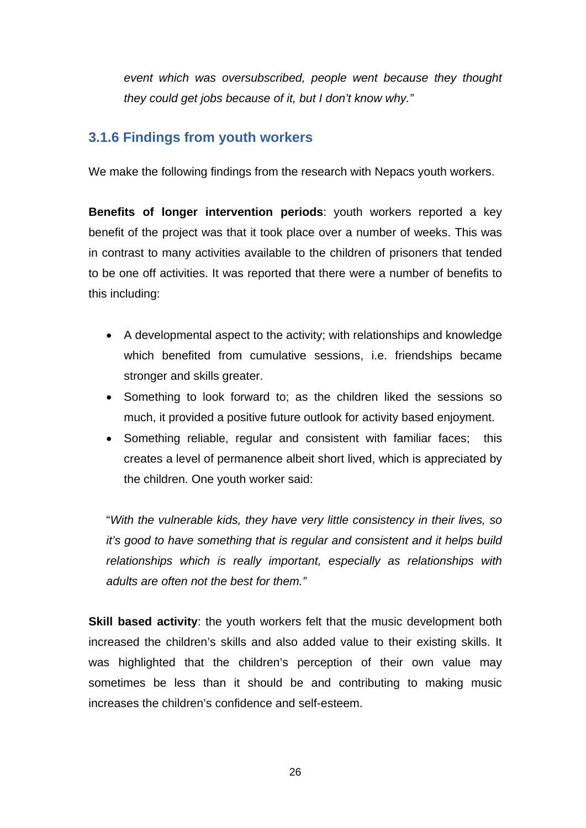*event which was oversubscribed, people went because they thought they could get jobs because of it, but I don't know why."*

### **3.1.6 Findings from youth workers**

We make the following findings from the research with Nepacs youth workers.

**Benefits of longer intervention periods**: youth workers reported a key benefit of the project was that it took place over a number of weeks. This was in contrast to many activities available to the children of prisoners that tended to be one off activities. It was reported that there were a number of benefits to this including:

- A developmental aspect to the activity; with relationships and knowledge which benefited from cumulative sessions, i.e. friendships became stronger and skills greater.
- Something to look forward to; as the children liked the sessions so much, it provided a positive future outlook for activity based enjoyment.
- Something reliable, regular and consistent with familiar faces; this creates a level of permanence albeit short lived, which is appreciated by the children. One youth worker said:

"*With the vulnerable kids, they have very little consistency in their lives, so it's good to have something that is regular and consistent and it helps build relationships which is really important, especially as relationships with adults are often not the best for them."* 

**Skill based activity:** the youth workers felt that the music development both increased the children's skills and also added value to their existing skills. It was highlighted that the children's perception of their own value may sometimes be less than it should be and contributing to making music increases the children's confidence and self-esteem.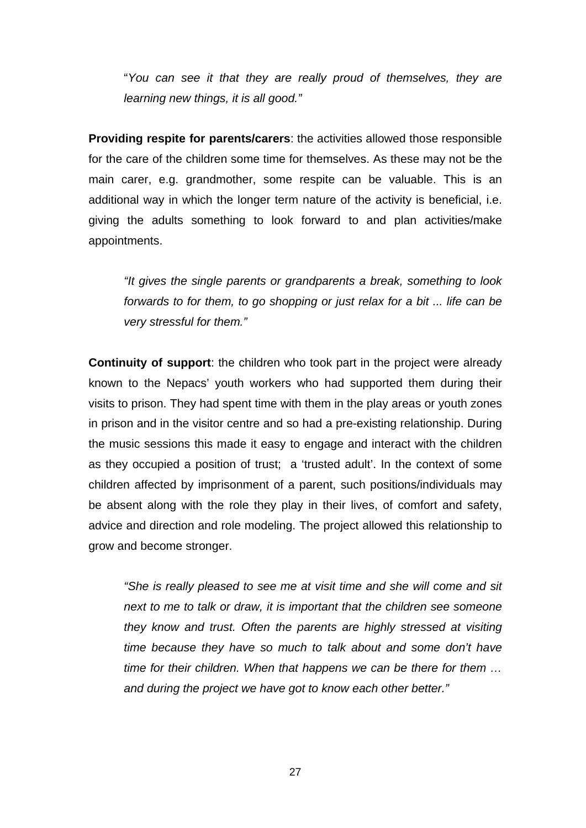"*You can see it that they are really proud of themselves, they are learning new things, it is all good."* 

**Providing respite for parents/carers**: the activities allowed those responsible for the care of the children some time for themselves. As these may not be the main carer, e.g. grandmother, some respite can be valuable. This is an additional way in which the longer term nature of the activity is beneficial, i.e. giving the adults something to look forward to and plan activities/make appointments.

*"It gives the single parents or grandparents a break, something to look forwards to for them, to go shopping or just relax for a bit ... life can be very stressful for them."* 

**Continuity of support**: the children who took part in the project were already known to the Nepacs' youth workers who had supported them during their visits to prison. They had spent time with them in the play areas or youth zones in prison and in the visitor centre and so had a pre-existing relationship. During the music sessions this made it easy to engage and interact with the children as they occupied a position of trust; a 'trusted adult'. In the context of some children affected by imprisonment of a parent, such positions/individuals may be absent along with the role they play in their lives, of comfort and safety, advice and direction and role modeling. The project allowed this relationship to grow and become stronger.

*"She is really pleased to see me at visit time and she will come and sit next to me to talk or draw, it is important that the children see someone they know and trust. Often the parents are highly stressed at visiting time because they have so much to talk about and some don't have time for their children. When that happens we can be there for them … and during the project we have got to know each other better."*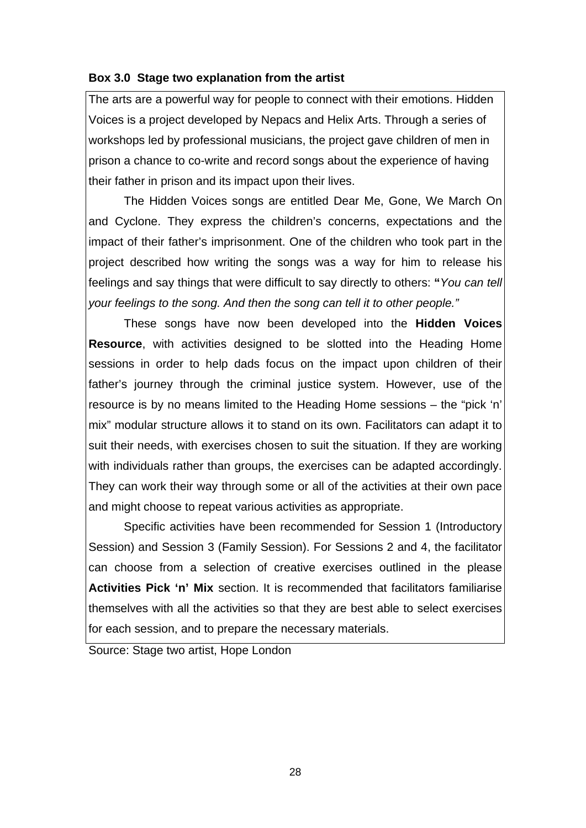#### **Box 3.0 Stage two explanation from the artist**

The arts are a powerful way for people to connect with their emotions. Hidden Voices is a project developed by Nepacs and Helix Arts. Through a series of workshops led by professional musicians, the project gave children of men in prison a chance to co-write and record songs about the experience of having their father in prison and its impact upon their lives.

The Hidden Voices songs are entitled Dear Me, Gone, We March On and Cyclone. They express the children's concerns, expectations and the impact of their father's imprisonment. One of the children who took part in the project described how writing the songs was a way for him to release his feelings and say things that were difficult to say directly to others: **"***You can tell your feelings to the song. And then the song can tell it to other people."* 

These songs have now been developed into the **Hidden Voices Resource**, with activities designed to be slotted into the Heading Home sessions in order to help dads focus on the impact upon children of their father's journey through the criminal justice system. However, use of the resource is by no means limited to the Heading Home sessions – the "pick 'n' mix" modular structure allows it to stand on its own. Facilitators can adapt it to suit their needs, with exercises chosen to suit the situation. If they are working with individuals rather than groups, the exercises can be adapted accordingly. They can work their way through some or all of the activities at their own pace and might choose to repeat various activities as appropriate.

Specific activities have been recommended for Session 1 (Introductory Session) and Session 3 (Family Session). For Sessions 2 and 4, the facilitator can choose from a selection of creative exercises outlined in the please **Activities Pick 'n' Mix** section. It is recommended that facilitators familiarise themselves with all the activities so that they are best able to select exercises for each session, and to prepare the necessary materials.

Source: Stage two artist, Hope London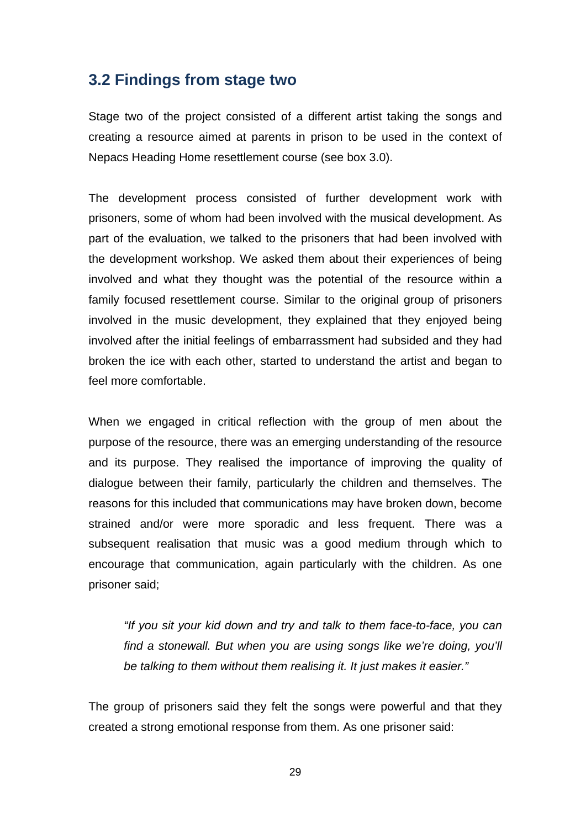### **3.2 Findings from stage two**

Stage two of the project consisted of a different artist taking the songs and creating a resource aimed at parents in prison to be used in the context of Nepacs Heading Home resettlement course (see box 3.0).

The development process consisted of further development work with prisoners, some of whom had been involved with the musical development. As part of the evaluation, we talked to the prisoners that had been involved with the development workshop. We asked them about their experiences of being involved and what they thought was the potential of the resource within a family focused resettlement course. Similar to the original group of prisoners involved in the music development, they explained that they enjoyed being involved after the initial feelings of embarrassment had subsided and they had broken the ice with each other, started to understand the artist and began to feel more comfortable.

When we engaged in critical reflection with the group of men about the purpose of the resource, there was an emerging understanding of the resource and its purpose. They realised the importance of improving the quality of dialogue between their family, particularly the children and themselves. The reasons for this included that communications may have broken down, become strained and/or were more sporadic and less frequent. There was a subsequent realisation that music was a good medium through which to encourage that communication, again particularly with the children. As one prisoner said;

*"If you sit your kid down and try and talk to them face-to-face, you can*  find a stonewall. But when you are using songs like we're doing, you'll *be talking to them without them realising it. It just makes it easier."* 

The group of prisoners said they felt the songs were powerful and that they created a strong emotional response from them. As one prisoner said: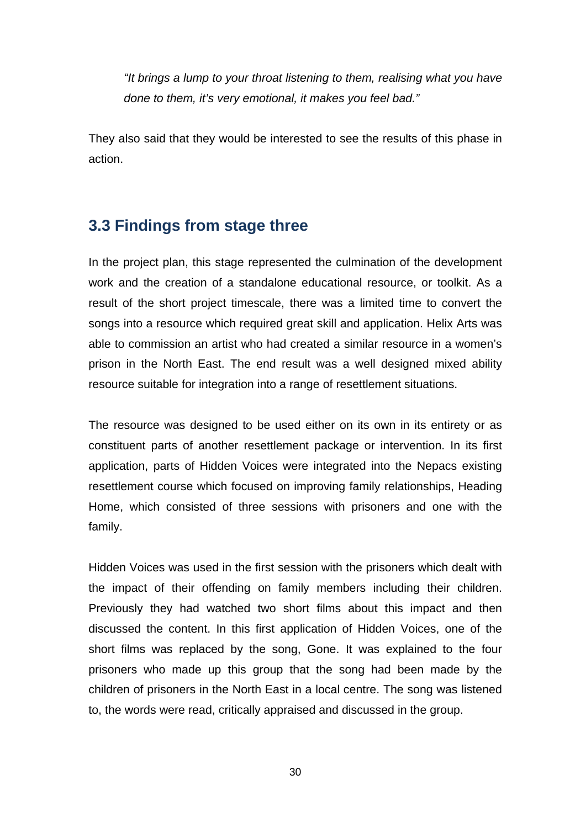*"It brings a lump to your throat listening to them, realising what you have done to them, it's very emotional, it makes you feel bad."* 

They also said that they would be interested to see the results of this phase in action.

### **3.3 Findings from stage three**

In the project plan, this stage represented the culmination of the development work and the creation of a standalone educational resource, or toolkit. As a result of the short project timescale, there was a limited time to convert the songs into a resource which required great skill and application. Helix Arts was able to commission an artist who had created a similar resource in a women's prison in the North East. The end result was a well designed mixed ability resource suitable for integration into a range of resettlement situations.

The resource was designed to be used either on its own in its entirety or as constituent parts of another resettlement package or intervention. In its first application, parts of Hidden Voices were integrated into the Nepacs existing resettlement course which focused on improving family relationships, Heading Home, which consisted of three sessions with prisoners and one with the family.

Hidden Voices was used in the first session with the prisoners which dealt with the impact of their offending on family members including their children. Previously they had watched two short films about this impact and then discussed the content. In this first application of Hidden Voices, one of the short films was replaced by the song, Gone. It was explained to the four prisoners who made up this group that the song had been made by the children of prisoners in the North East in a local centre. The song was listened to, the words were read, critically appraised and discussed in the group.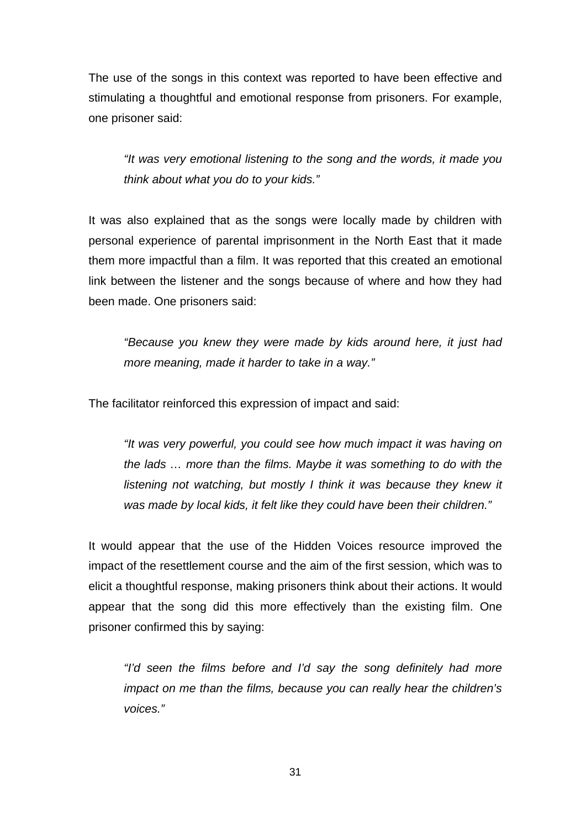The use of the songs in this context was reported to have been effective and stimulating a thoughtful and emotional response from prisoners. For example, one prisoner said:

*"It was very emotional listening to the song and the words, it made you think about what you do to your kids."* 

It was also explained that as the songs were locally made by children with personal experience of parental imprisonment in the North East that it made them more impactful than a film. It was reported that this created an emotional link between the listener and the songs because of where and how they had been made. One prisoners said:

*"Because you knew they were made by kids around here, it just had more meaning, made it harder to take in a way."* 

The facilitator reinforced this expression of impact and said:

*"It was very powerful, you could see how much impact it was having on the lads … more than the films. Maybe it was something to do with the listening not watching, but mostly I think it was because they knew it was made by local kids, it felt like they could have been their children."* 

It would appear that the use of the Hidden Voices resource improved the impact of the resettlement course and the aim of the first session, which was to elicit a thoughtful response, making prisoners think about their actions. It would appear that the song did this more effectively than the existing film. One prisoner confirmed this by saying:

*"I'd seen the films before and I'd say the song definitely had more impact on me than the films, because you can really hear the children's voices."*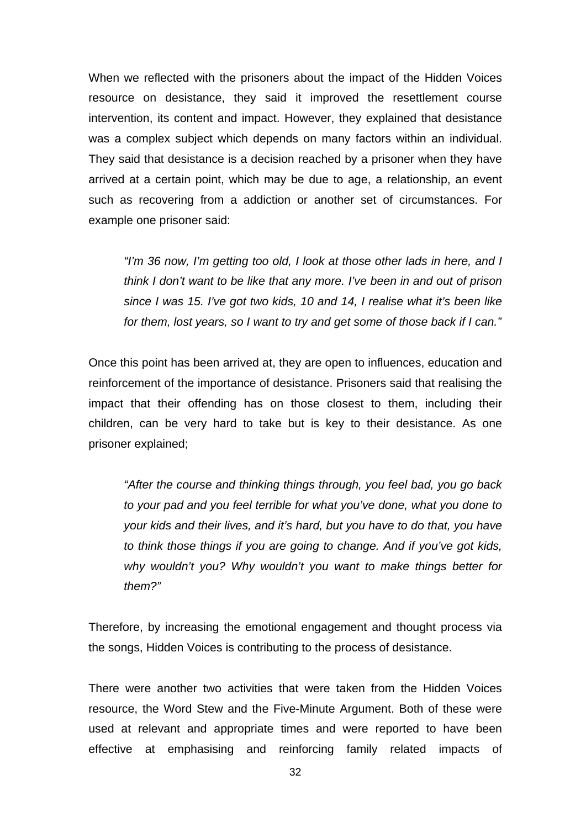When we reflected with the prisoners about the impact of the Hidden Voices resource on desistance, they said it improved the resettlement course intervention, its content and impact. However, they explained that desistance was a complex subject which depends on many factors within an individual. They said that desistance is a decision reached by a prisoner when they have arrived at a certain point, which may be due to age, a relationship, an event such as recovering from a addiction or another set of circumstances. For example one prisoner said:

*"I'm 36 now, I'm getting too old, I look at those other lads in here, and I think I don't want to be like that any more. I've been in and out of prison since I was 15. I've got two kids, 10 and 14, I realise what it's been like for them, lost years, so I want to try and get some of those back if I can."* 

Once this point has been arrived at, they are open to influences, education and reinforcement of the importance of desistance. Prisoners said that realising the impact that their offending has on those closest to them, including their children, can be very hard to take but is key to their desistance. As one prisoner explained;

*"After the course and thinking things through, you feel bad, you go back to your pad and you feel terrible for what you've done, what you done to your kids and their lives, and it's hard, but you have to do that, you have to think those things if you are going to change. And if you've got kids, why wouldn't you? Why wouldn't you want to make things better for them?"* 

Therefore, by increasing the emotional engagement and thought process via the songs, Hidden Voices is contributing to the process of desistance.

There were another two activities that were taken from the Hidden Voices resource, the Word Stew and the Five-Minute Argument. Both of these were used at relevant and appropriate times and were reported to have been effective at emphasising and reinforcing family related impacts of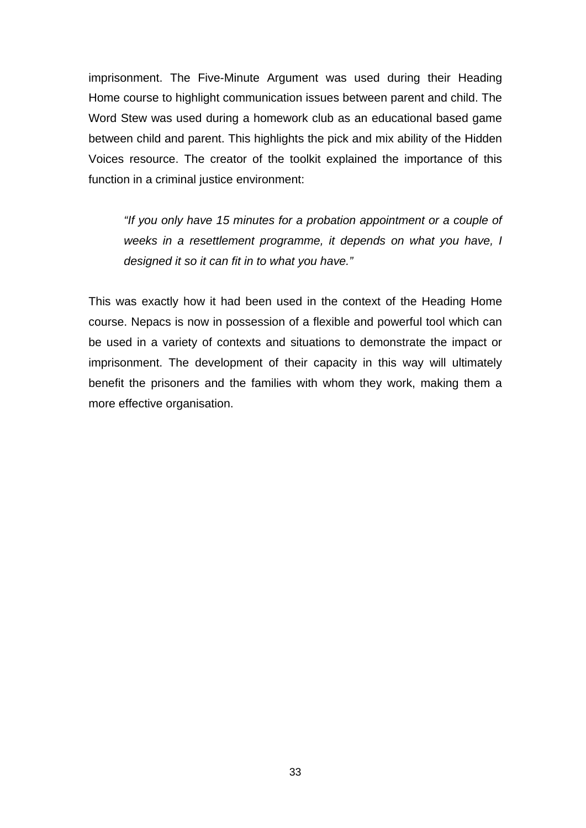imprisonment. The Five-Minute Argument was used during their Heading Home course to highlight communication issues between parent and child. The Word Stew was used during a homework club as an educational based game between child and parent. This highlights the pick and mix ability of the Hidden Voices resource. The creator of the toolkit explained the importance of this function in a criminal justice environment:

*"If you only have 15 minutes for a probation appointment or a couple of weeks in a resettlement programme, it depends on what you have, I designed it so it can fit in to what you have."* 

This was exactly how it had been used in the context of the Heading Home course. Nepacs is now in possession of a flexible and powerful tool which can be used in a variety of contexts and situations to demonstrate the impact or imprisonment. The development of their capacity in this way will ultimately benefit the prisoners and the families with whom they work, making them a more effective organisation.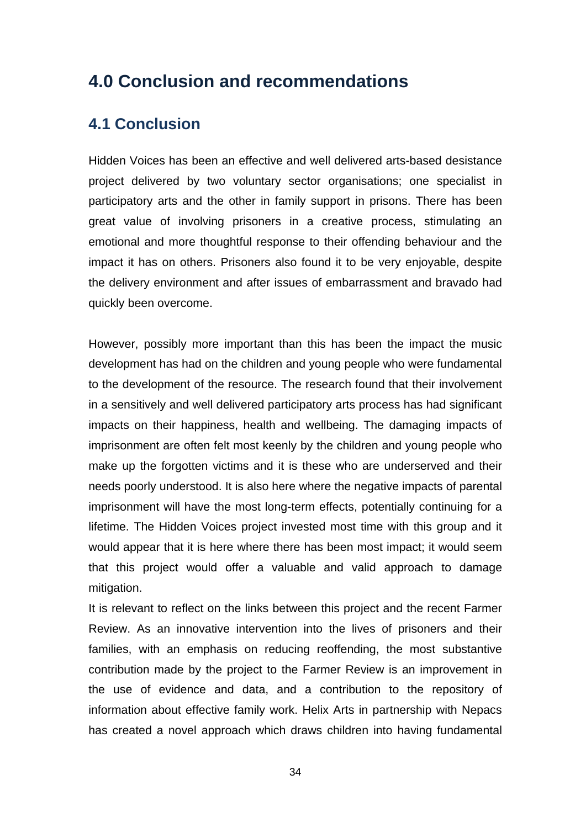# **4.0 Conclusion and recommendations**

### **4.1 Conclusion**

Hidden Voices has been an effective and well delivered arts-based desistance project delivered by two voluntary sector organisations; one specialist in participatory arts and the other in family support in prisons. There has been great value of involving prisoners in a creative process, stimulating an emotional and more thoughtful response to their offending behaviour and the impact it has on others. Prisoners also found it to be very enjoyable, despite the delivery environment and after issues of embarrassment and bravado had quickly been overcome.

However, possibly more important than this has been the impact the music development has had on the children and young people who were fundamental to the development of the resource. The research found that their involvement in a sensitively and well delivered participatory arts process has had significant impacts on their happiness, health and wellbeing. The damaging impacts of imprisonment are often felt most keenly by the children and young people who make up the forgotten victims and it is these who are underserved and their needs poorly understood. It is also here where the negative impacts of parental imprisonment will have the most long-term effects, potentially continuing for a lifetime. The Hidden Voices project invested most time with this group and it would appear that it is here where there has been most impact; it would seem that this project would offer a valuable and valid approach to damage mitigation.

It is relevant to reflect on the links between this project and the recent Farmer Review. As an innovative intervention into the lives of prisoners and their families, with an emphasis on reducing reoffending, the most substantive contribution made by the project to the Farmer Review is an improvement in the use of evidence and data, and a contribution to the repository of information about effective family work. Helix Arts in partnership with Nepacs has created a novel approach which draws children into having fundamental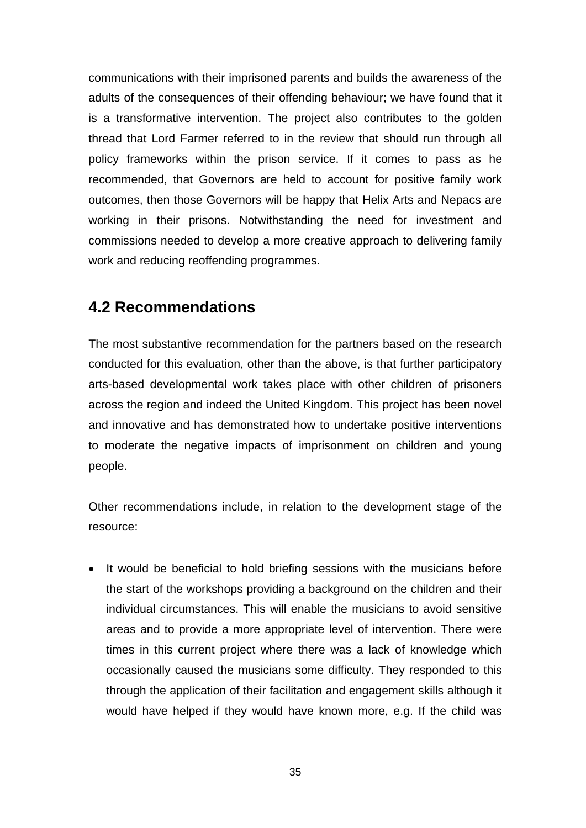communications with their imprisoned parents and builds the awareness of the adults of the consequences of their offending behaviour; we have found that it is a transformative intervention. The project also contributes to the golden thread that Lord Farmer referred to in the review that should run through all policy frameworks within the prison service. If it comes to pass as he recommended, that Governors are held to account for positive family work outcomes, then those Governors will be happy that Helix Arts and Nepacs are working in their prisons. Notwithstanding the need for investment and commissions needed to develop a more creative approach to delivering family work and reducing reoffending programmes.

## **4.2 Recommendations**

The most substantive recommendation for the partners based on the research conducted for this evaluation, other than the above, is that further participatory arts-based developmental work takes place with other children of prisoners across the region and indeed the United Kingdom. This project has been novel and innovative and has demonstrated how to undertake positive interventions to moderate the negative impacts of imprisonment on children and young people.

Other recommendations include, in relation to the development stage of the resource:

• It would be beneficial to hold briefing sessions with the musicians before the start of the workshops providing a background on the children and their individual circumstances. This will enable the musicians to avoid sensitive areas and to provide a more appropriate level of intervention. There were times in this current project where there was a lack of knowledge which occasionally caused the musicians some difficulty. They responded to this through the application of their facilitation and engagement skills although it would have helped if they would have known more, e.g. If the child was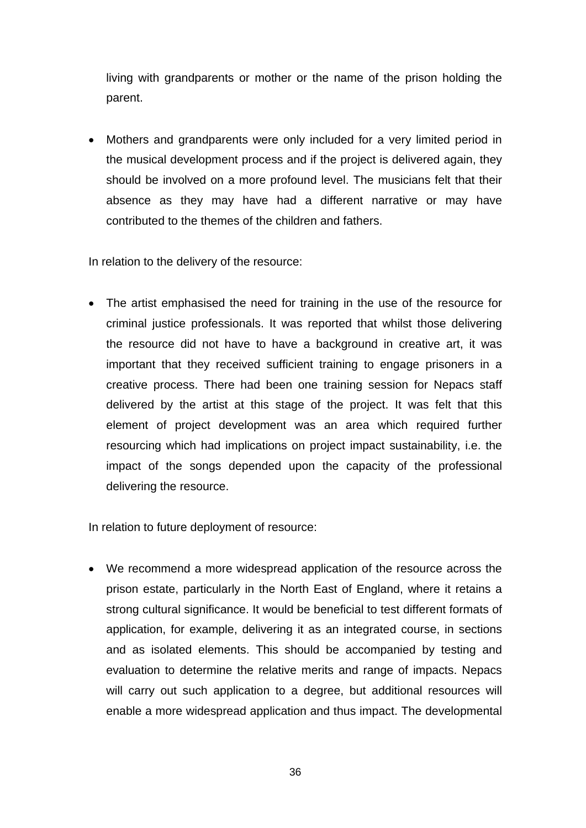living with grandparents or mother or the name of the prison holding the parent.

 Mothers and grandparents were only included for a very limited period in the musical development process and if the project is delivered again, they should be involved on a more profound level. The musicians felt that their absence as they may have had a different narrative or may have contributed to the themes of the children and fathers.

In relation to the delivery of the resource:

• The artist emphasised the need for training in the use of the resource for criminal justice professionals. It was reported that whilst those delivering the resource did not have to have a background in creative art, it was important that they received sufficient training to engage prisoners in a creative process. There had been one training session for Nepacs staff delivered by the artist at this stage of the project. It was felt that this element of project development was an area which required further resourcing which had implications on project impact sustainability, i.e. the impact of the songs depended upon the capacity of the professional delivering the resource.

In relation to future deployment of resource:

 We recommend a more widespread application of the resource across the prison estate, particularly in the North East of England, where it retains a strong cultural significance. It would be beneficial to test different formats of application, for example, delivering it as an integrated course, in sections and as isolated elements. This should be accompanied by testing and evaluation to determine the relative merits and range of impacts. Nepacs will carry out such application to a degree, but additional resources will enable a more widespread application and thus impact. The developmental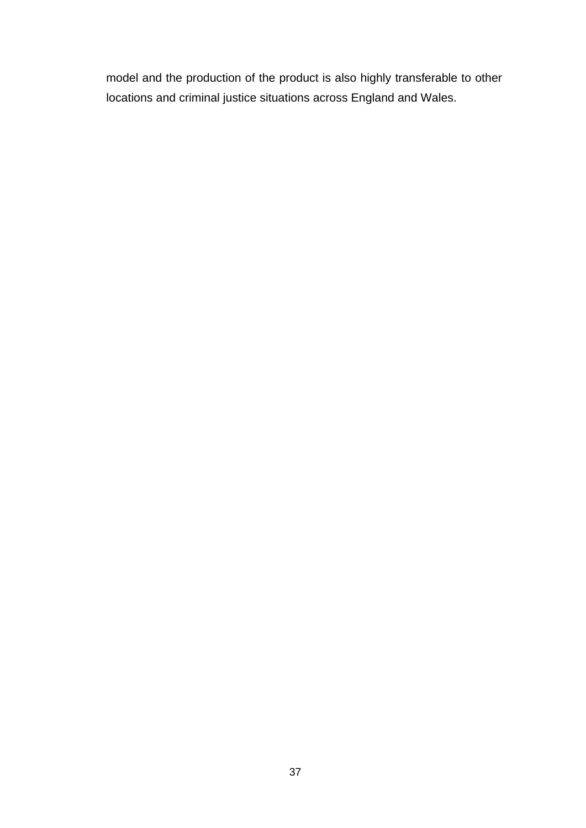model and the production of the product is also highly transferable to other locations and criminal justice situations across England and Wales.